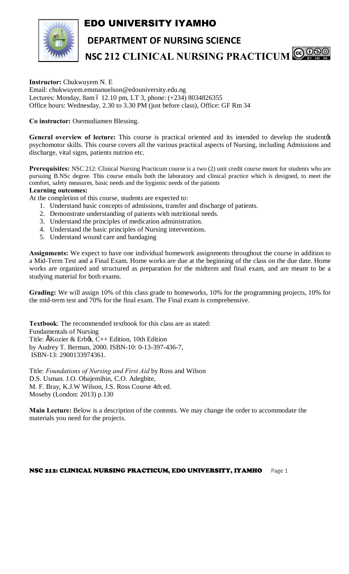# EDO UNIVERSITY IYAMHO



**DEPARTMENT OF NURSING SCIENCE NSC 212 CLINICAL NURSING PRACTICUM** @ 000

**Instructor:** Chukwuyem N. E Email: chukwuyem.emmanuelson@edouniversity.edu.ng Lectures: Monday, 8am ó 12.10 pm, LT 3, phone: (+234) 8034826355 Office hours: Wednesday, 2.30 to 3.30 PM (just before class), Office: GF Rm 34

## **Co instructor:** Osemudiamen Blessing.

General overview of lecture: This course is practical oriented and its intended to develop the student*o*s psychomotor skills. This course covers all the various practical aspects of Nursing, including Admissions and discharge, vital signs, patients nutrion etc.

Prerequisites: NSC 212: Clinical Nursing Practicum course is a two (2) unit credit course meant for students who are pursuing B.NSc degree. This course entails both the laboratory and clinical practice which is designed, to meet the comfort, safety measures, basic needs and the hygienic needs of the patients

### **Learning outcomes:**

At the completion of this course, students are expected to:

- 1. Understand basic concepts of admissions, transfer and discharge of patients.
- 2. Demonstrate understanding of patients with nutritional needs.
- 3. Understand the principles of medication administration.
- 4. Understand the basic principles of Nursing interventions.
- 5. Understand wound care and bandaging

**Assignments:** We expect to have one individual homework assignments throughout the course in addition to a Mid-Term Test and a Final Exam. Home works are due at the beginning of the class on the due date. Home works are organized and structured as preparation for the midterm and final exam, and are meant to be a studying material for both exams.

**Grading:** We will assign 10% of this class grade to homeworks, 10% for the programming projects, 10% for the mid-term test and 70% for the final exam. The Final exam is comprehensive.

**Textbook**: The recommended textbook for this class are as stated: Fundamentals of Nursing Title: ÉKozier & Erb $\alpha$ , C++ Edition, 10th Edition by Audrey T. Berman, 2000. ISBN-10: 0-13-397-436-7, ISBN-13: 2900133974361.

Title: *Foundations of Nursing and First Aid* by Ross and Wilson D.S. Usman. J.O. Obajemihin, C.O. Adegbite, M. F. Bray, K.J.W Wilson, J.S. Ross Course 4th ed. Moseby (London: 2013) p.130

**Main Lecture:** Below is a description of the contents. We may change the order to accommodate the materials you need for the projects.

### NSC 212: CLINICAL NURSING PRACTICUM, EDO UNIVERSITY, IYAMHO Page 1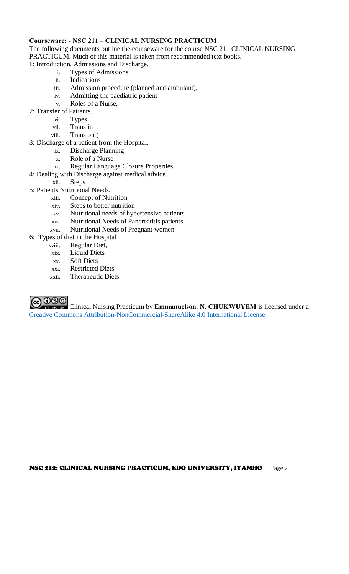## **Courseware: - NSC 211 – CLINICAL NURSING PRACTICUM**

The following documents outline the courseware for the course NSC 211 CLINICAL NURSING PRACTICUM. Much of this material is taken from recommended text books.

**1**: Introduction. Admissions and Discharge.

- i. Types of Admissions
- ii. Indications
- iii. Admission procedure (planned and ambulant),
- iv. Admitting the paediatric patient
- v. Roles of a Nurse,
- 2: Transfer of Patients.
	- vi. Types
	- vii. Trans in
	- viii. Trans out)
- 3: Discharge of a patient from the Hospital.
	- ix. Discharge Planning
	- x. Role of a Nurse
	- xi. Regular Language Closure Properties
- 4: Dealing with Discharge against medical advice.
	- xii. Steps
- 5: Patients Nutritional Needs.
	- xiii. Concept of Nutrition
	- xiv. Steps to better nutrition
	- xv. Nutritional needs of hypertensive patients
	- xvi. Nutritional Needs of Pancreatitis patients
	- xvii. Nutritional Needs of Pregnant women
- 6: Types of diet in the Hospital
	- xviii. Regular Diet,
	- xix. Liquid Diets
	- xx. Soft Diets
	- xxi. Restricted Diets
	- xxii. Therapeutic Diets

COOO Clinical Nursing Practicum by **Emmanuelson. N. CHUKWUYEM** is licensed under a [Creativ](http://creativecommons.org/licenses/by-nc-sa/4.0/)e [Commons Attribution-NonCommercial-ShareAlike 4.0 International Licens](http://creativecommons.org/licenses/by-nc-sa/4.0/)e

#### NSC 212: CLINICAL NURSING PRACTICUM, EDO UNIVERSITY, IYAMHO Page 2